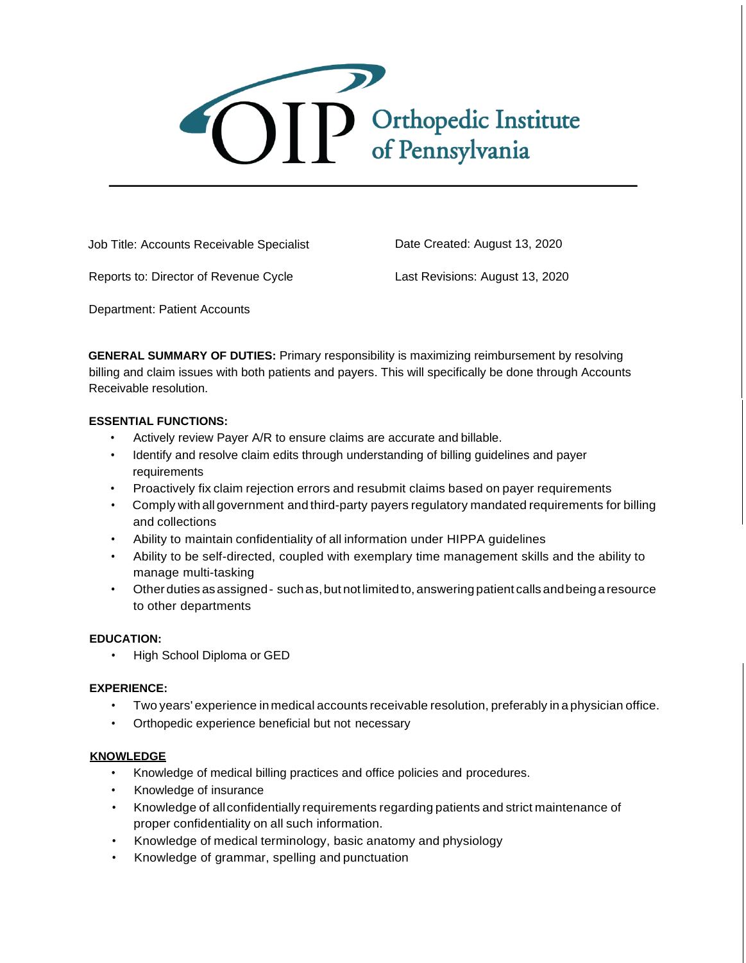

Job Title: Accounts Receivable Specialist

Date Created: August 13, 2020

Reports to: Director of Revenue Cycle

Last Revisions: August 13, 2020

Department: Patient Accounts

**GENERAL SUMMARY OF DUTIES:** Primary responsibility is maximizing reimbursement by resolving billing and claim issues with both patients and payers. This will specifically be done through Accounts Receivable resolution.

# **ESSENTIAL FUNCTIONS:**

- Actively review Payer A/R to ensure claims are accurate and billable.
- Identify and resolve claim edits through understanding of billing guidelines and payer requirements
- Proactively fix claim rejection errors and resubmit claims based on payer requirements
- Comply with all government and third-party payers regulatory mandated requirements for billing and collections
- Ability to maintain confidentiality of all information under HIPPA guidelines
- Ability to be self-directed, coupled with exemplary time management skills and the ability to manage multi-tasking
- Other duties asassigned- such as,but not limitedto, answering patient calls andbeingaresource to other departments

# **EDUCATION:**

• High School Diploma or GED

# **EXPERIENCE:**

- Two years' experience inmedical accounts receivable resolution, preferably in a physician office.
- Orthopedic experience beneficial but not necessary

# **KNOWLEDGE**

- Knowledge of medical billing practices and office policies and procedures.
- Knowledge of insurance
- Knowledge of allconfidentially requirements regarding patients and strict maintenance of proper confidentiality on all such information.
- Knowledge of medical terminology, basic anatomy and physiology
- Knowledge of grammar, spelling and punctuation